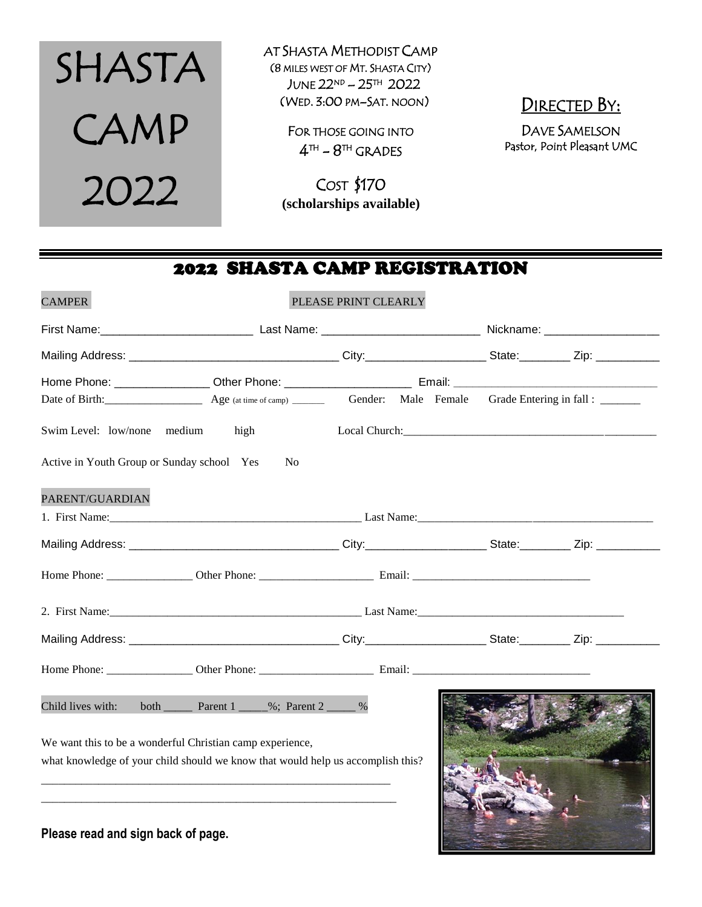

AT SHASTA METHODIST CAMP (8 MILES WEST OF MT. SHASTA CITY) JUNE  $22^{ND}$  –  $25^{TH}$  2022 (WED. 3:00 PM–SAT. NOON)

> FOR THOSE GOING INTO  $4^{\text{th}}$  –  $8^{\text{th}}$  grades

COST \$170  **(scholarships available)** DIRECTED BY:

DAVE SAMELSON Pastor, Point Pleasant UMC

# 2022 SHASTA CAMP REGISTRATION

| <b>CAMPER</b>                                                                   |                                                                       | PLEASE PRINT CLEARLY                                                                                                                                                                                                                 |  |  |  |
|---------------------------------------------------------------------------------|-----------------------------------------------------------------------|--------------------------------------------------------------------------------------------------------------------------------------------------------------------------------------------------------------------------------------|--|--|--|
|                                                                                 |                                                                       |                                                                                                                                                                                                                                      |  |  |  |
|                                                                                 |                                                                       |                                                                                                                                                                                                                                      |  |  |  |
|                                                                                 |                                                                       |                                                                                                                                                                                                                                      |  |  |  |
|                                                                                 |                                                                       |                                                                                                                                                                                                                                      |  |  |  |
| Swim Level: low/none                                                            | medium<br>high                                                        | Local Church: <u>and Church and Church and Church and Church and Church and Church and Church and Church and Church and Church and Church and Church and Church and Church and Church and Church and Church and Church and Churc</u> |  |  |  |
| Active in Youth Group or Sunday school Yes                                      | N <sub>0</sub>                                                        |                                                                                                                                                                                                                                      |  |  |  |
| PARENT/GUARDIAN                                                                 |                                                                       |                                                                                                                                                                                                                                      |  |  |  |
|                                                                                 |                                                                       |                                                                                                                                                                                                                                      |  |  |  |
|                                                                                 |                                                                       |                                                                                                                                                                                                                                      |  |  |  |
|                                                                                 |                                                                       |                                                                                                                                                                                                                                      |  |  |  |
|                                                                                 |                                                                       |                                                                                                                                                                                                                                      |  |  |  |
|                                                                                 |                                                                       |                                                                                                                                                                                                                                      |  |  |  |
|                                                                                 |                                                                       |                                                                                                                                                                                                                                      |  |  |  |
| Child lives with:                                                               | both $\frac{1}{2}$ Parent 1 $\frac{1}{2}$ %; Parent 2 $\frac{1}{2}$ % |                                                                                                                                                                                                                                      |  |  |  |
| We want this to be a wonderful Christian camp experience,                       |                                                                       |                                                                                                                                                                                                                                      |  |  |  |
| what knowledge of your child should we know that would help us accomplish this? |                                                                       |                                                                                                                                                                                                                                      |  |  |  |
|                                                                                 |                                                                       |                                                                                                                                                                                                                                      |  |  |  |

**Please read and sign back of page.**